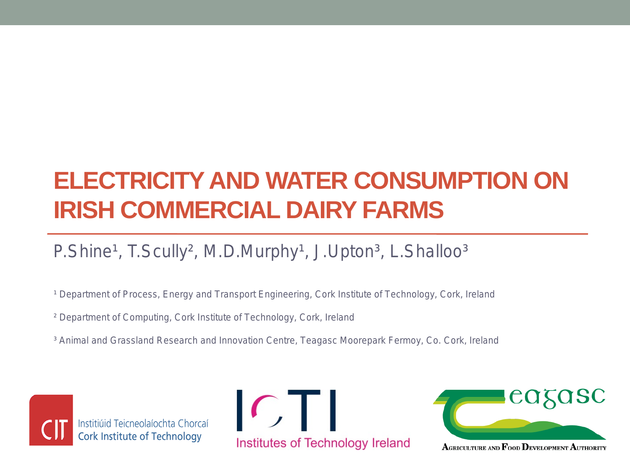#### **ELECTRICITY AND WATER CONSUMPTION ON IRISH COMMERCIAL DAIRY FARMS**

#### P.Shine<sup>1</sup>, T.Scully<sup>2</sup>, M.D.Murphy<sup>1</sup>, J.Upton<sup>3</sup>, L.Shalloo<sup>3</sup>

<sup>1</sup> Department of Process, Energy and Transport Engineering, Cork Institute of Technology, Cork, Ireland

- ² Department of Computing, Cork Institute of Technology, Cork, Ireland
- ³ Animal and Grassland Research and Innovation Centre, Teagasc Moorepark Fermoy, Co. Cork, Ireland



Institiúid Teicneolaíochta Chorcaí Cork Institute of Technology





AGRICULTURE AND FOOD DEVELOPMENT AUTHORITY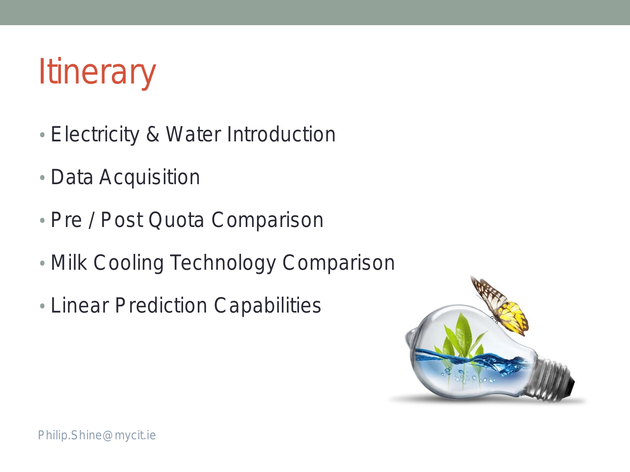# **Itinerary**

- Electricity & Water Introduction
- Data Acquisition
- Pre / Post Quota Comparison
- Milk Cooling Technology Comparison
- Linear Prediction Capabilities

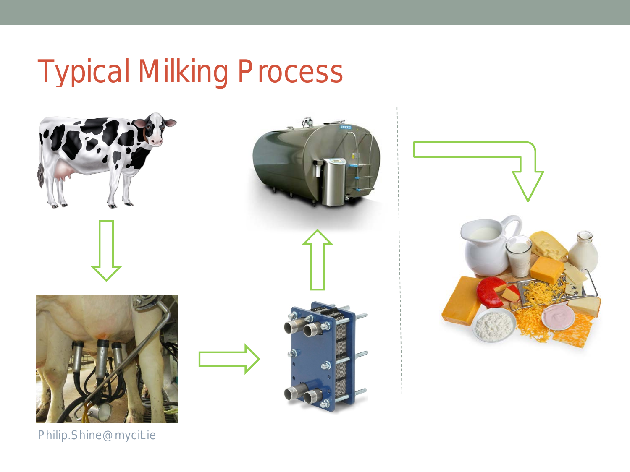### Typical Milking Process

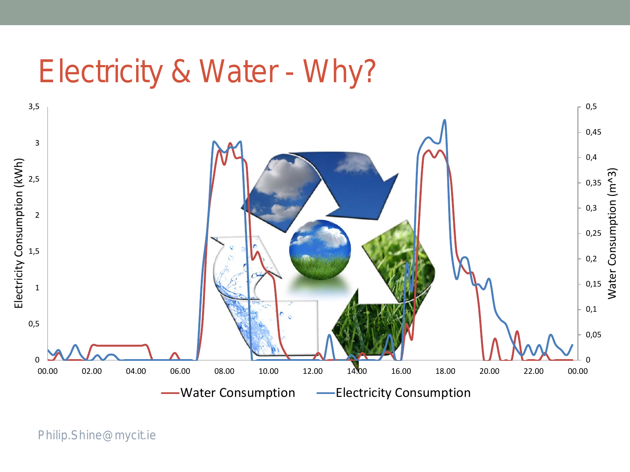#### Electricity & Water - Why?

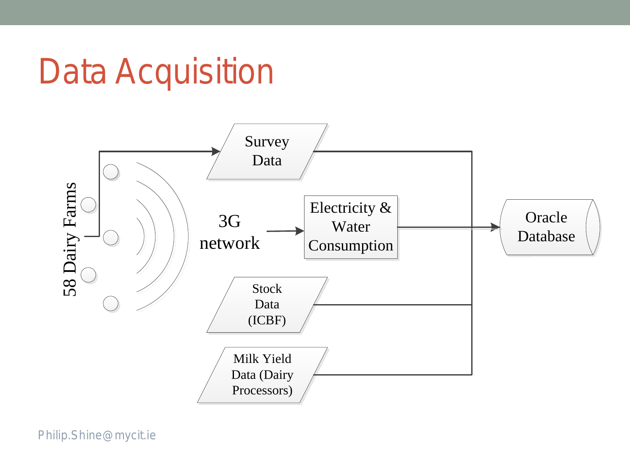## Data Acquisition

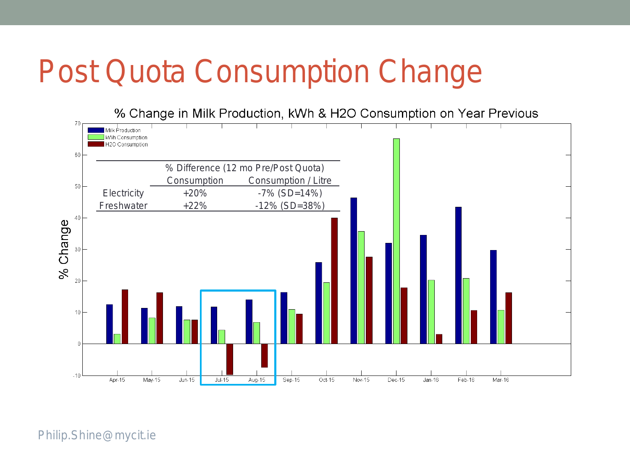### Post Quota Consumption Change

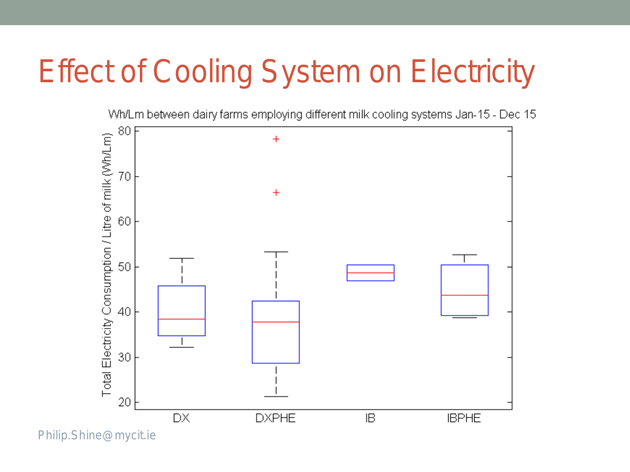## Effect of Cooling System on Electricity

Wh/Lm between dairy farms employing different milk cooling systems Jan-15 - Dec 15

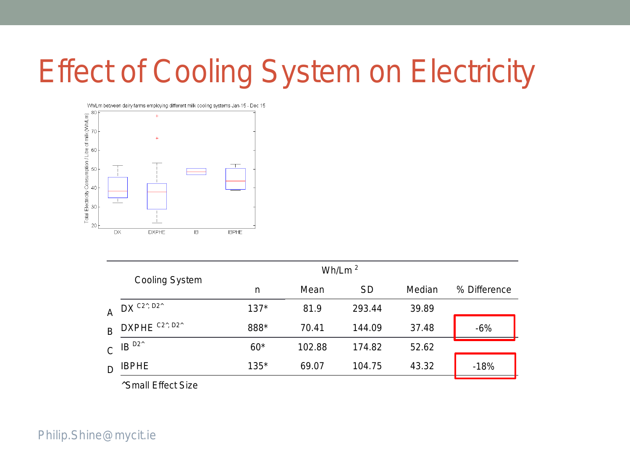## Effect of Cooling System on Electricity



|              |                                                             |        | Wh/Lm $^2$ |           |        |              |
|--------------|-------------------------------------------------------------|--------|------------|-----------|--------|--------------|
|              | <b>Cooling System</b>                                       | n      | Mean       | <b>SD</b> | Median | % Difference |
| A            | $DX$ $C2^x$ , $D2^x$                                        | $137*$ | 81.9       | 293.44    | 39.89  |              |
| B            | DXPHE C <sub>2</sub> <sup>, D<sub>2</sub><sup>^</sup></sup> | 888*   | 70.41      | 144.09    | 37.48  | $-6%$        |
| $\mathsf{C}$ | IB <sup>D2</sup>                                            | $60*$  | 102.88     | 174.82    | 52.62  |              |
|              | IBPHE                                                       | 135*   | 69.07      | 104.75    | 43.32  | $-18%$       |
|              | $\cdots$ $\cdots$ $\cdots$<br>$\sim$                        |        |            |           |        |              |

^Small Effect Size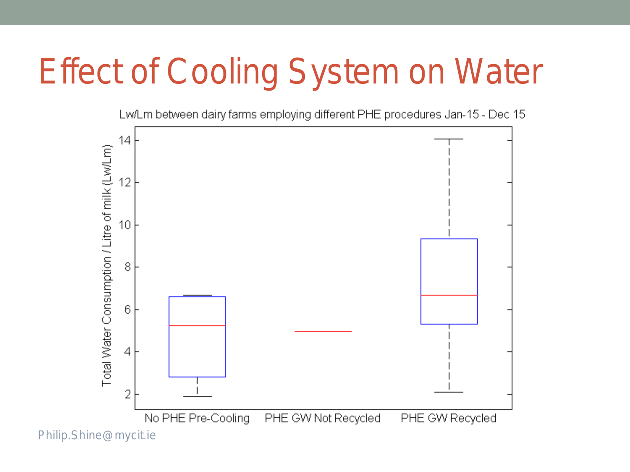# Effect of Cooling System on Water

Lw/Lm between dairy farms employing different PHE procedures Jan-15 - Dec 15

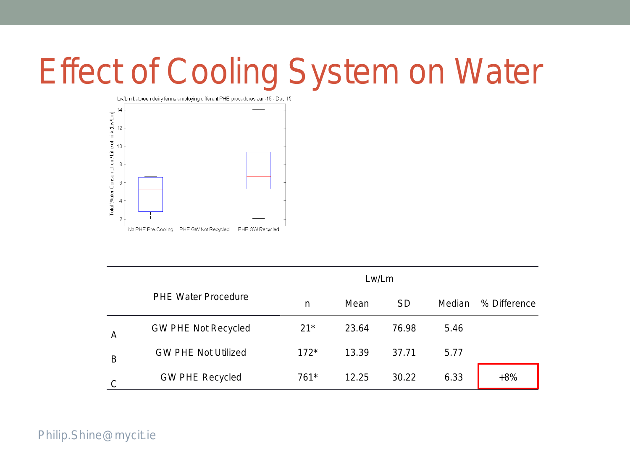# Effect of Cooling System on Water



|   | Lw/Lm                      |        |       |           |        |              |
|---|----------------------------|--------|-------|-----------|--------|--------------|
|   | <b>PHE Water Procedure</b> | n      | Mean  | <b>SD</b> | Median | % Difference |
| A | <b>GW PHE Not Recycled</b> | $21*$  | 23.64 | 76.98     | 5.46   |              |
| B | <b>GW PHE Not Utilized</b> | $172*$ | 13.39 | 37.71     | 5.77   |              |
| C | <b>GW PHE Recycled</b>     | 761*   | 12.25 | 30.22     | 6.33   | $+8%$        |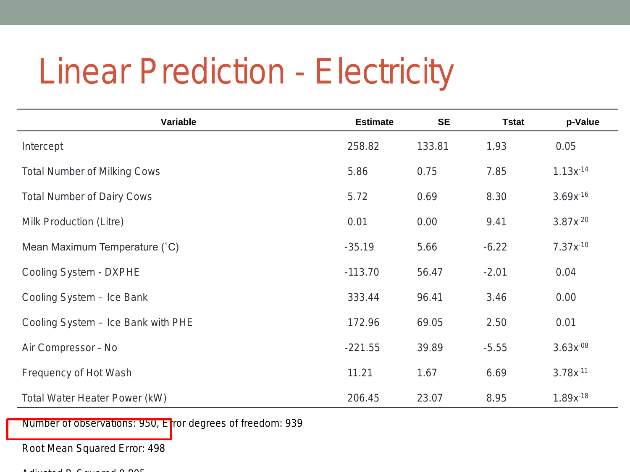## Linear Prediction - Electricity

| Variable                            | <b>Estimate</b> | <b>SE</b> | <b>Tstat</b> | p-Value       |
|-------------------------------------|-----------------|-----------|--------------|---------------|
| Intercept                           | 258.82          | 133.81    | 1.93         | 0.05          |
| <b>Total Number of Milking Cows</b> | 5.86            | 0.75      | 7.85         | $1.13x^{14}$  |
| <b>Total Number of Dairy Cows</b>   | 5.72            | 0.69      | 8.30         | $3.69x^{-16}$ |
| Milk Production (Litre)             | 0.01            | 0.00      | 9.41         | $3.87x^{-20}$ |
| Mean Maximum Temperature (°C)       | $-35.19$        | 5.66      | $-6.22$      | $7.37x^{-10}$ |
| Cooling System - DXPHE              | $-113.70$       | 56.47     | $-2.01$      | 0.04          |
| Cooling System - Ice Bank           | 333.44          | 96.41     | 3.46         | 0.00          |
| Cooling System - Ice Bank with PHE  | 172.96          | 69.05     | 2.50         | 0.01          |
| Air Compressor - No                 | $-221.55$       | 39.89     | $-5.55$      | $3.63x^{-08}$ |
| Frequency of Hot Wash               | 11.21           | 1.67      | 6.69         | $3.78x^{-11}$ |
| Total Water Heater Power (kW)       | 206.45          | 23.07     | 8.95         | $1.89x^{.18}$ |

Number of observations: 950, Error degrees of freedom: 939

Root Mean Squared Error: 498

Adjusted R Squared 0 805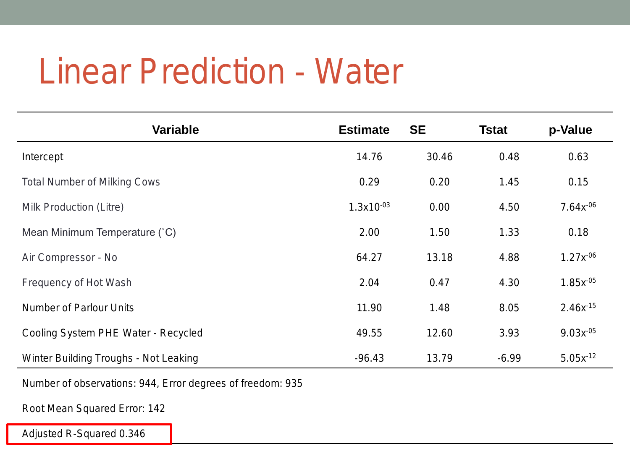## Linear Prediction - Water

| <b>Variable</b>                       | <b>Estimate</b> | <b>SE</b> | <b>Tstat</b> | p-Value       |
|---------------------------------------|-----------------|-----------|--------------|---------------|
| Intercept                             | 14.76           | 30.46     | 0.48         | 0.63          |
| <b>Total Number of Milking Cows</b>   | 0.29            | 0.20      | 1.45         | 0.15          |
| Milk Production (Litre)               | $1.3x10^{-03}$  | 0.00      | 4.50         | $7.64x^{-06}$ |
| Mean Minimum Temperature (°C)         | 2.00            | 1.50      | 1.33         | 0.18          |
| Air Compressor - No                   | 64.27           | 13.18     | 4.88         | $1.27x^{-06}$ |
| Frequency of Hot Wash                 | 2.04            | 0.47      | 4.30         | $1.85x^{-05}$ |
| <b>Number of Parlour Units</b>        | 11.90           | 1.48      | 8.05         | $2.46x^{15}$  |
| Cooling System PHE Water - Recycled   | 49.55           | 12.60     | 3.93         | $9.03x^{-05}$ |
| Winter Building Troughs - Not Leaking | $-96.43$        | 13.79     | $-6.99$      | $5.05x^{-12}$ |

Number of observations: 944, Error degrees of freedom: 935

Root Mean Squared Error: 142

Adjusted R-Squared 0.346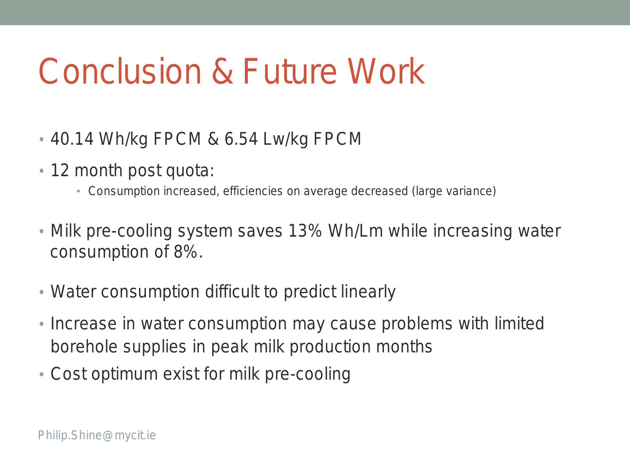# Conclusion & Future Work

- 40.14 Wh/kg FPCM & 6.54 Lw/kg FPCM
- 12 month post quota:
	- Consumption increased, efficiencies on average decreased (large variance)
- Milk pre-cooling system saves 13% Wh/Lm while increasing water consumption of 8%.
- Water consumption difficult to predict linearly
- Increase in water consumption may cause problems with limited borehole supplies in peak milk production months
- Cost optimum exist for milk pre-cooling